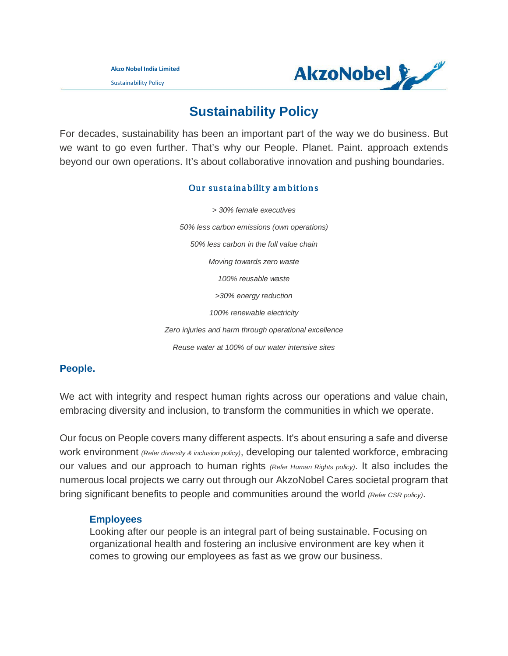Sustainability Policy



# **Sustainability Policy**

For decades, sustainability has been an important part of the way we do business. But we want to go even further. That's why our People. Planet. Paint. approach extends beyond our own operations. It's about collaborative innovation and pushing boundaries.

# Our sustainability ambitions

*> 30% female executives 50% less carbon emissions (own operations) 50% less carbon in the full value chain Moving towards zero waste 100% reusable waste >30% energy reduction 100% renewable electricity Zero injuries and harm through operational excellence Reuse water at 100% of our water intensive sites*

# **People.**

We act with integrity and respect human rights across our operations and value chain, embracing diversity and inclusion, to transform the communities in which we operate.

Our focus on People covers many different aspects. It's about ensuring a safe and diverse work environment *(Refer diversity & inclusion policy)*, developing our talented workforce, embracing our values and our approach to human rights *(Refer Human Rights policy)*. It also includes the numerous local projects we carry out through our AkzoNobel Cares societal program that bring significant benefits to people and communities around the world *(Refer CSR policy)*.

# **Employees**

Looking after our people is an integral part of being sustainable. Focusing on organizational health and fostering an inclusive environment are key when it comes to growing our employees as fast as we grow our business.